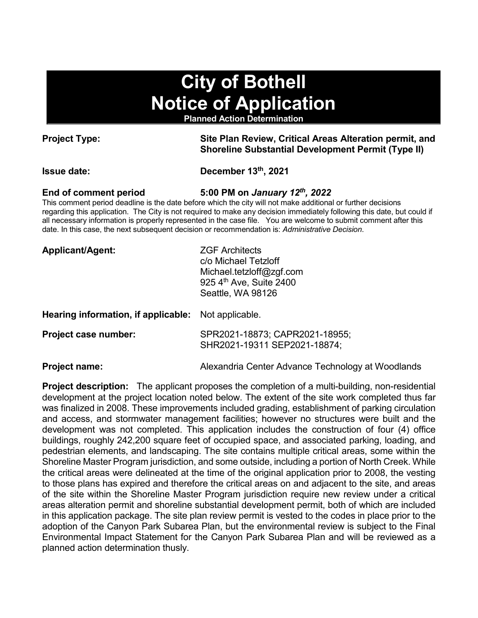# **City of Bothell Notice of Application**

**Planned Action Determination**

**Project Type: Site Plan Review, Critical Areas Alteration permit, and Shoreline Substantial Development Permit (Type II)**

**Issue date: December 13th, 2021**

**End of comment period 5:00 PM on** *January 12th, 2022*

This comment period deadline is the date before which the city will not make additional or further decisions regarding this application. The City is not required to make any decision immediately following this date, but could if all necessary information is properly represented in the case file. You are welcome to submit comment after this date. In this case, the next subsequent decision or recommendation is: *Administrative Decision*.

| Applicant/Agent: | <b>ZGF Architects</b>    |
|------------------|--------------------------|
|                  | c/o Michael Tetzloff     |
|                  | Michael.tetzloff@zgf.com |
|                  | 925 4th Ave, Suite 2400  |
|                  | Seattle, WA 98126        |

**Hearing information, if applicable:** Not applicable.

| Project case number: | SPR2021-18873; CAPR2021-18955; |
|----------------------|--------------------------------|
|                      | SHR2021-19311 SEP2021-18874;   |

**Project name: Alexandria Center Advance Technology at Woodlands** 

**Project description:** The applicant proposes the completion of a multi-building, non-residential development at the project location noted below. The extent of the site work completed thus far was finalized in 2008. These improvements included grading, establishment of parking circulation and access, and stormwater management facilities; however no structures were built and the development was not completed. This application includes the construction of four (4) office buildings, roughly 242,200 square feet of occupied space, and associated parking, loading, and pedestrian elements, and landscaping. The site contains multiple critical areas, some within the Shoreline Master Program jurisdiction, and some outside, including a portion of North Creek. While the critical areas were delineated at the time of the original application prior to 2008, the vesting to those plans has expired and therefore the critical areas on and adjacent to the site, and areas of the site within the Shoreline Master Program jurisdiction require new review under a critical areas alteration permit and shoreline substantial development permit, both of which are included in this application package. The site plan review permit is vested to the codes in place prior to the adoption of the Canyon Park Subarea Plan, but the environmental review is subject to the Final Environmental Impact Statement for the Canyon Park Subarea Plan and will be reviewed as a planned action determination thusly.